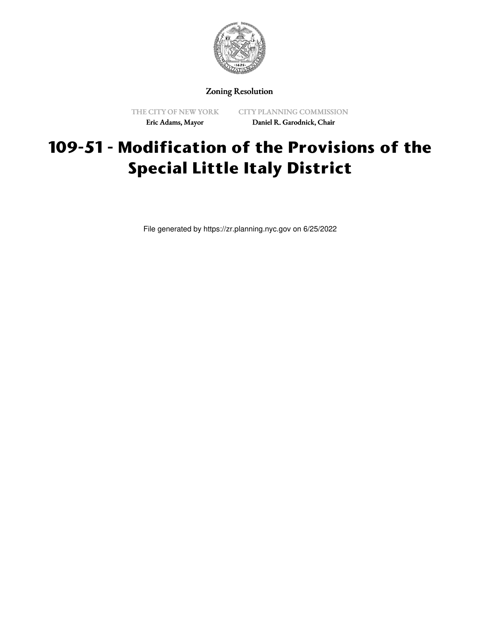

Zoning Resolution

THE CITY OF NEW YORK Eric Adams, Mayor

CITY PLANNING COMMISSION Daniel R. Garodnick, Chair

## **109-51 - Modification of the Provisions of the Special Little Italy District**

File generated by https://zr.planning.nyc.gov on 6/25/2022